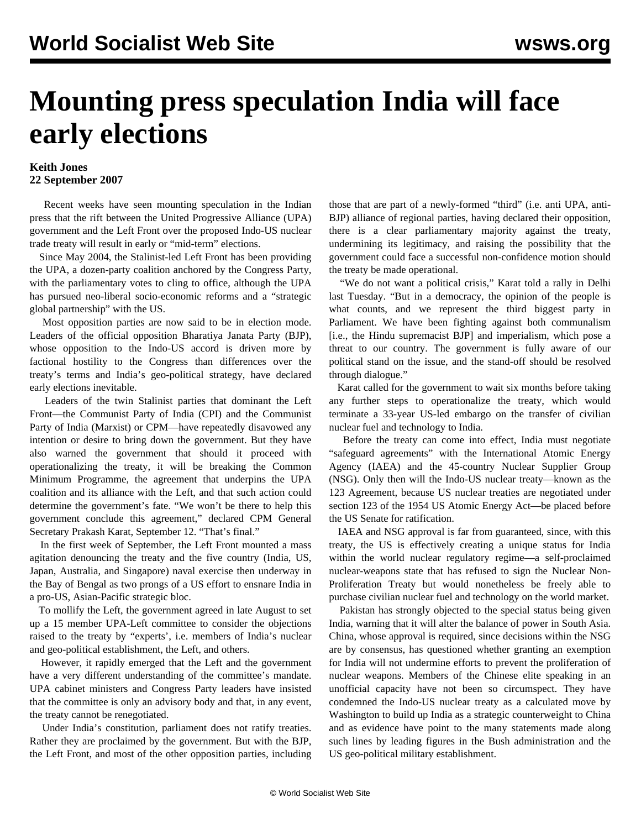## **Mounting press speculation India will face early elections**

## **Keith Jones 22 September 2007**

 Recent weeks have seen mounting speculation in the Indian press that the rift between the United Progressive Alliance (UPA) government and the Left Front over the proposed Indo-US nuclear trade treaty will result in early or "mid-term" elections.

 Since May 2004, the Stalinist-led Left Front has been providing the UPA, a dozen-party coalition anchored by the Congress Party, with the parliamentary votes to cling to office, although the UPA has pursued neo-liberal socio-economic reforms and a "strategic global partnership" with the US.

 Most opposition parties are now said to be in election mode. Leaders of the official opposition Bharatiya Janata Party (BJP), whose opposition to the Indo-US accord is driven more by factional hostility to the Congress than differences over the treaty's terms and India's geo-political strategy, have declared early elections inevitable.

 Leaders of the twin Stalinist parties that dominant the Left Front—the Communist Party of India (CPI) and the Communist Party of India (Marxist) or CPM—have repeatedly disavowed any intention or desire to bring down the government. But they have also warned the government that should it proceed with operationalizing the treaty, it will be breaking the Common Minimum Programme, the agreement that underpins the UPA coalition and its alliance with the Left, and that such action could determine the government's fate. "We won't be there to help this government conclude this agreement," declared CPM General Secretary Prakash Karat, September 12. "That's final."

 In the first week of September, the Left Front mounted a mass agitation denouncing the treaty and the five country (India, US, Japan, Australia, and Singapore) naval exercise then underway in the Bay of Bengal as two prongs of a US effort to ensnare India in a pro-US, Asian-Pacific strategic bloc.

 To mollify the Left, the government agreed in late August to set up a 15 member UPA-Left committee to consider the objections raised to the treaty by "experts', i.e. members of India's nuclear and geo-political establishment, the Left, and others.

 However, it rapidly emerged that the Left and the government have a very different understanding of the committee's mandate. UPA cabinet ministers and Congress Party leaders have insisted that the committee is only an advisory body and that, in any event, the treaty cannot be renegotiated.

 Under India's constitution, parliament does not ratify treaties. Rather they are proclaimed by the government. But with the BJP, the Left Front, and most of the other opposition parties, including those that are part of a newly-formed "third" (i.e. anti UPA, anti-BJP) alliance of regional parties, having declared their opposition, there is a clear parliamentary majority against the treaty, undermining its legitimacy, and raising the possibility that the government could face a successful non-confidence motion should the treaty be made operational.

 "We do not want a political crisis," Karat told a rally in Delhi last Tuesday. "But in a democracy, the opinion of the people is what counts, and we represent the third biggest party in Parliament. We have been fighting against both communalism [i.e., the Hindu supremacist BJP] and imperialism, which pose a threat to our country. The government is fully aware of our political stand on the issue, and the stand-off should be resolved through dialogue."

 Karat called for the government to wait six months before taking any further steps to operationalize the treaty, which would terminate a 33-year US-led embargo on the transfer of civilian nuclear fuel and technology to India.

 Before the treaty can come into effect, India must negotiate "safeguard agreements" with the International Atomic Energy Agency (IAEA) and the 45-country Nuclear Supplier Group (NSG). Only then will the Indo-US nuclear treaty—known as the 123 Agreement, because US nuclear treaties are negotiated under section 123 of the 1954 US Atomic Energy Act—be placed before the US Senate for ratification.

 IAEA and NSG approval is far from guaranteed, since, with this treaty, the US is effectively creating a unique status for India within the world nuclear regulatory regime—a self-proclaimed nuclear-weapons state that has refused to sign the Nuclear Non-Proliferation Treaty but would nonetheless be freely able to purchase civilian nuclear fuel and technology on the world market.

 Pakistan has strongly objected to the special status being given India, warning that it will alter the balance of power in South Asia. China, whose approval is required, since decisions within the NSG are by consensus, has questioned whether granting an exemption for India will not undermine efforts to prevent the proliferation of nuclear weapons. Members of the Chinese elite speaking in an unofficial capacity have not been so circumspect. They have condemned the Indo-US nuclear treaty as a calculated move by Washington to build up India as a strategic counterweight to China and as evidence have point to the many statements made along such lines by leading figures in the Bush administration and the US geo-political military establishment.